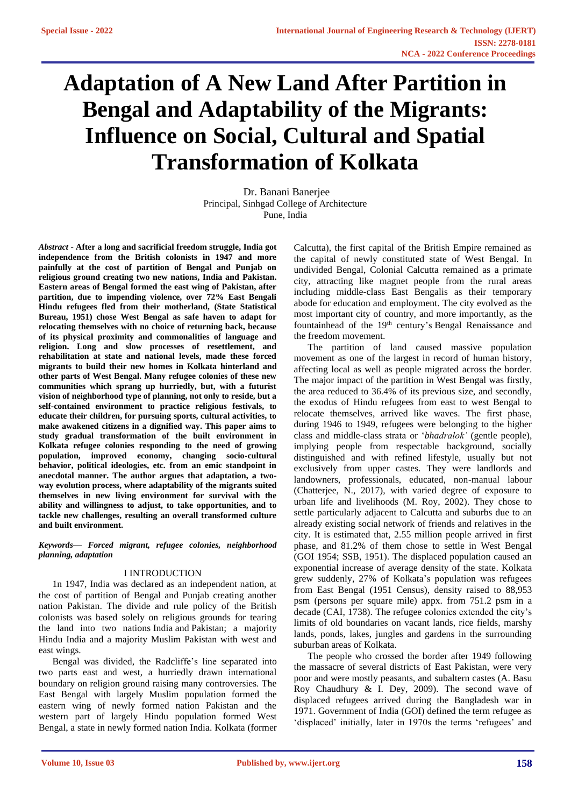# **Adaptation of A New Land After Partition in Bengal and Adaptability of the Migrants: Influence on Social, Cultural and Spatial Transformation of Kolkata**

Dr. Banani Banerjee Principal, Sinhgad College of Architecture Pune, India

*Abstract -* **After a long and sacrificial freedom struggle, India got independence from the British colonists in 1947 and more painfully at the cost of partition of Bengal and Punjab on religious ground creating two new nations, India and Pakistan. Eastern areas of Bengal formed the east wing of Pakistan, after partition, due to impending violence, over 72% East Bengali Hindu refugees fled from their motherland, (State Statistical Bureau, 1951) chose West Bengal as safe haven to adapt for relocating themselves with no choice of returning back, because of its physical proximity and commonalities of language and religion. Long and slow processes of resettlement, and rehabilitation at state and national levels, made these forced migrants to build their new homes in Kolkata hinterland and other parts of West Bengal. Many refugee colonies of these new communities which sprang up hurriedly, but, with a futurist vision of neighborhood type of planning, not only to reside, but a self-contained environment to practice religious festivals, to educate their children, for pursuing sports, cultural activities, to make awakened citizens in a dignified way. This paper aims to study gradual transformation of the built environment in Kolkata refugee colonies responding to the need of growing population, improved economy, changing socio-cultural behavior, political ideologies, etc. from an emic standpoint in anecdotal manner. The author argues that adaptation, a twoway evolution process, where adaptability of the migrants suited themselves in new living environment for survival with the ability and willingness to adjust, to take opportunities, and to tackle new challenges, resulting an overall transformed culture and built environment.** 

*Keywords— Forced migrant, refugee colonies, neighborhood planning, adaptation*

# I INTRODUCTION

1n 1947, India was declared as an independent nation, at the cost of partition of Bengal and Punjab creating another nation Pakistan. The divide and rule policy of the British colonists was based solely on religious grounds for tearing the land into two nations India and Pakistan; a majority Hindu India and a majority Muslim Pakistan with west and east wings.

Bengal was divided, the Radcliffe's line separated into two parts east and west, a hurriedly drawn international boundary on religion ground raising many controversies. The East Bengal with largely Muslim population formed the eastern wing of newly formed nation Pakistan and the western part of largely Hindu population formed West Bengal, a state in newly formed nation India. Kolkata (former

Calcutta), the first capital of the British Empire remained as the capital of newly constituted state of West Bengal. In undivided Bengal, Colonial Calcutta remained as a primate city, attracting like magnet people from the rural areas including middle-class East Bengalis as their temporary abode for education and employment. The city evolved as the most important city of country, and more importantly, as the fountainhead of the 19<sup>th</sup> century's Bengal Renaissance and the freedom movement.

The partition of land caused massive population movement as one of the largest in record of human history, affecting local as well as people migrated across the border. The major impact of the partition in West Bengal was firstly, the area reduced to 36.4% of its previous size, and secondly, the exodus of Hindu refugees from east to west Bengal to relocate themselves, arrived like waves. The first phase, during 1946 to 1949, refugees were belonging to the higher class and middle-class strata or '*bhadralok'* (gentle people), implying people from respectable background, socially distinguished and with refined lifestyle, usually but not exclusively from upper castes. They were landlords and landowners, professionals, educated, non-manual labour (Chatterjee, N., 2017), with varied degree of exposure to urban life and livelihoods (M. Roy, 2002). They chose to settle particularly adjacent to Calcutta and suburbs due to an already existing social network of friends and relatives in the city. It is estimated that, 2.55 million people arrived in first phase, and 81.2% of them chose to settle in West Bengal (GOI 1954; SSB, 1951). The displaced population caused an exponential increase of average density of the state. Kolkata grew suddenly, 27% of Kolkata's population was refugees from East Bengal (1951 Census), density raised to 88,953 psm (persons per square mile) appx. from 751.2 psm in a decade (CAI, 1738). The refugee colonies extended the city's limits of old boundaries on vacant lands, rice fields, marshy lands, ponds, lakes, jungles and gardens in the surrounding suburban areas of Kolkata.

The people who crossed the border after 1949 following the massacre of several districts of East Pakistan, were very poor and were mostly peasants, and subaltern castes (A. Basu Roy Chaudhury & I. Dey, 2009). The second wave of displaced refugees arrived during the Bangladesh war in 1971. Government of India (GOI) defined the term refugee as 'displaced' initially, later in 1970s the terms 'refugees' and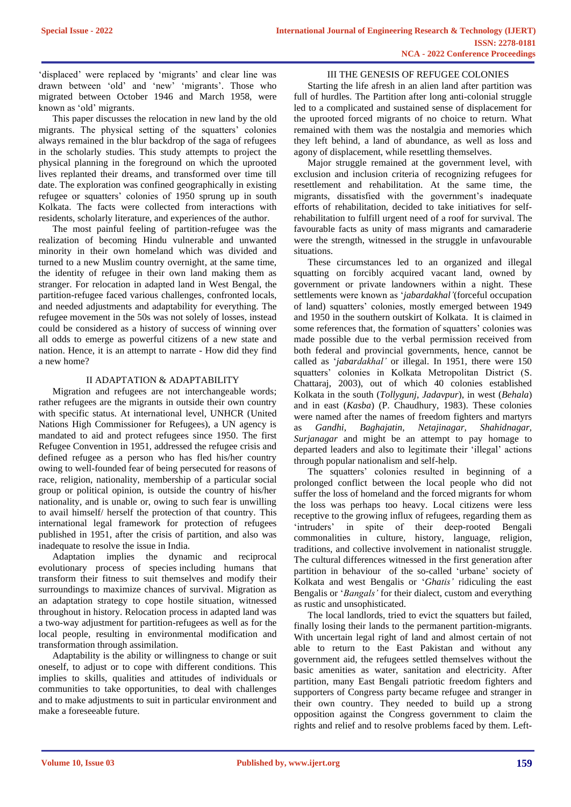'displaced' were replaced by 'migrants' and clear line was drawn between 'old' and 'new' 'migrants'. Those who migrated between October 1946 and March 1958, were known as 'old' migrants.

This paper discusses the relocation in new land by the old migrants. The physical setting of the squatters' colonies always remained in the blur backdrop of the saga of refugees in the scholarly studies. This study attempts to project the physical planning in the foreground on which the uprooted lives replanted their dreams, and transformed over time till date. The exploration was confined geographically in existing refugee or squatters' colonies of 1950 sprung up in south Kolkata. The facts were collected from interactions with residents, scholarly literature, and experiences of the author.

The most painful feeling of partition-refugee was the realization of becoming Hindu vulnerable and unwanted minority in their own homeland which was divided and turned to a new Muslim country overnight, at the same time, the identity of refugee in their own land making them as stranger. For relocation in adapted land in West Bengal, the partition-refugee faced various challenges, confronted locals, and needed adjustments and adaptability for everything. The refugee movement in the 50s was not solely of losses, instead could be considered as a history of success of winning over all odds to emerge as powerful citizens of a new state and nation. Hence, it is an attempt to narrate - How did they find a new home?

#### II ADAPTATION & ADAPTABILITY

Migration and refugees are not interchangeable words; rather refugees are the migrants in outside their own country with specific status. At international level, UNHCR (United Nations High Commissioner for Refugees), a UN agency is mandated to aid and protect refugees since 1950. The first Refugee Convention in 1951, addressed the refugee crisis and defined refugee as a person who has fled his/her country owing to well-founded fear of being persecuted for reasons of race, religion, nationality, membership of a particular social group or political opinion, is outside the country of his/her nationality, and is unable or, owing to such fear is unwilling to avail himself/ herself the protection of that country. This international legal framework for protection of refugees published in 1951, after the crisis of partition, and also was inadequate to resolve the issue in India.

Adaptation implies the dynamic and reciprocal evolutionary process of species including humans that transform their fitness to suit themselves and modify their surroundings to maximize chances of survival. Migration as an adaptation strategy to cope hostile situation, witnessed throughout in history. Relocation process in adapted land was a two-way adjustment for partition-refugees as well as for the local people, resulting in environmental modification and transformation through assimilation.

Adaptability is the ability or willingness to change or suit oneself, to adjust or to cope with different conditions. This implies to skills, qualities and attitudes of individuals or communities to take opportunities, to deal with challenges and to make adjustments to suit in particular environment and make a foreseeable future.

#### III THE GENESIS OF REFUGEE COLONIES

Starting the life afresh in an alien land after partition was full of hurdles. The Partition after long anti-colonial struggle led to a complicated and sustained sense of displacement for the uprooted forced migrants of no choice to return. What remained with them was the nostalgia and memories which they left behind, a land of abundance, as well as loss and agony of displacement, while resettling themselves.

Major struggle remained at the government level, with exclusion and inclusion criteria of recognizing refugees for resettlement and rehabilitation. At the same time, the migrants, dissatisfied with the government's inadequate efforts of rehabilitation, decided to take initiatives for selfrehabilitation to fulfill urgent need of a roof for survival. The favourable facts as unity of mass migrants and camaraderie were the strength, witnessed in the struggle in unfavourable situations.

These circumstances led to an organized and illegal squatting on forcibly acquired vacant land, owned by government or private landowners within a night. These settlements were known as '*jabardakhal'*(forceful occupation of land) squatters' colonies, mostly emerged between 1949 and 1950 in the southern outskirt of Kolkata. It is claimed in some references that, the formation of squatters' colonies was made possible due to the verbal permission received from both federal and provincial governments, hence, cannot be called as '*jabardakhal'* or illegal. In 1951, there were 150 squatters' colonies in Kolkata Metropolitan District (S. Chattaraj, 2003), out of which 40 colonies established Kolkata in the south (*Tollygunj, Jadavpur*), in west (*Behala*) and in east (*Kasba*) (P. Chaudhury, 1983). These colonies were named after the names of freedom fighters and martyrs as *Gandhi*, *Baghajatin, Netajinagar, Shahidnagar, Surjanagar* and might be an attempt to pay homage to departed leaders and also to legitimate their 'illegal' actions through popular nationalism and self-help.

The squatters' colonies resulted in beginning of a prolonged conflict between the local people who did not suffer the loss of homeland and the forced migrants for whom the loss was perhaps too heavy. Local citizens were less receptive to the growing influx of refugees, regarding them as 'intruders' in spite of their deep-rooted Bengali commonalities in culture, history, language, religion, traditions, and collective involvement in nationalist struggle. The cultural differences witnessed in the first generation after partition in behaviour of the so-called 'urbane' society of Kolkata and west Bengalis or '*Ghatis'* ridiculing the east Bengalis or '*Bangals'* for their dialect, custom and everything as rustic and unsophisticated.

The local landlords, tried to evict the squatters but failed, finally losing their lands to the permanent partition-migrants. With uncertain legal right of land and almost certain of not able to return to the East Pakistan and without any government aid, the refugees settled themselves without the basic amenities as water, sanitation and electricity. After partition, many East Bengali patriotic freedom fighters and supporters of Congress party became refugee and stranger in their own country. They needed to build up a strong opposition against the Congress government to claim the rights and relief and to resolve problems faced by them. Left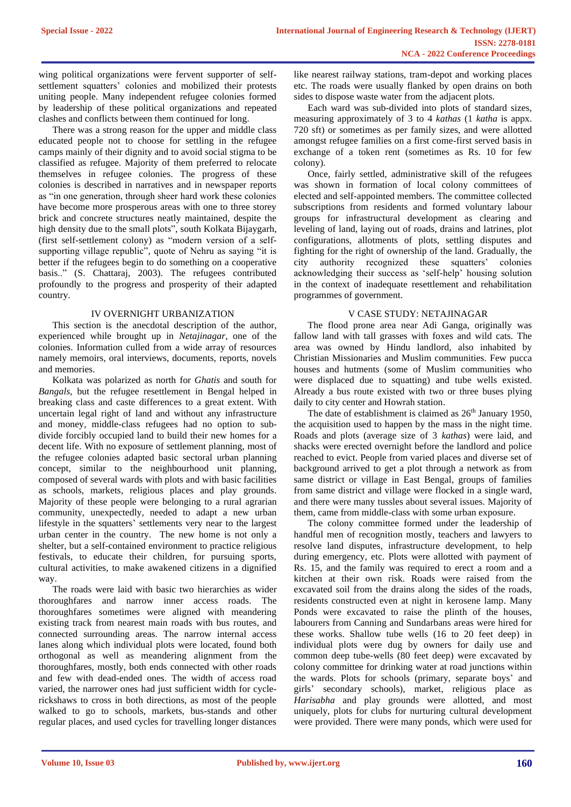wing political organizations were fervent supporter of selfsettlement squatters' colonies and mobilized their protests uniting people. Many independent refugee colonies formed by leadership of these political organizations and repeated clashes and conflicts between them continued for long.

There was a strong reason for the upper and middle class educated people not to choose for settling in the refugee camps mainly of their dignity and to avoid social stigma to be classified as refugee. Majority of them preferred to relocate themselves in refugee colonies. The progress of these colonies is described in narratives and in newspaper reports as "in one generation, through sheer hard work these colonies have become more prosperous areas with one to three storey brick and concrete structures neatly maintained, despite the high density due to the small plots", south Kolkata Bijaygarh, (first self-settlement colony) as "modern version of a selfsupporting village republic", quote of Nehru as saying "it is better if the refugees begin to do something on a cooperative basis.." (S. Chattaraj, 2003). The refugees contributed profoundly to the progress and prosperity of their adapted country.

# IV OVERNIGHT URBANIZATION

This section is the anecdotal description of the author, experienced while brought up in *Netajinagar*, one of the colonies. Information culled from a wide array of resources namely memoirs, oral interviews, documents, reports, novels and memories.

Kolkata was polarized as north for *Ghatis* and south for *Bangals*, but the refugee resettlement in Bengal helped in breaking class and caste differences to a great extent. With uncertain legal right of land and without any infrastructure and money, middle-class refugees had no option to subdivide forcibly occupied land to build their new homes for a decent life. With no exposure of settlement planning, most of the refugee colonies adapted basic sectoral urban planning concept, similar to the neighbourhood unit planning, composed of several wards with plots and with basic facilities as schools, markets, religious places and play grounds. Majority of these people were belonging to a rural agrarian community, unexpectedly, needed to adapt a new urban lifestyle in the squatters' settlements very near to the largest urban center in the country. The new home is not only a shelter, but a self-contained environment to practice religious festivals, to educate their children, for pursuing sports, cultural activities, to make awakened citizens in a dignified way.

The roads were laid with basic two hierarchies as wider thoroughfares and narrow inner access roads. The thoroughfares sometimes were aligned with meandering existing track from nearest main roads with bus routes, and connected surrounding areas. The narrow internal access lanes along which individual plots were located, found both orthogonal as well as meandering alignment from the thoroughfares, mostly, both ends connected with other roads and few with dead-ended ones. The width of access road varied, the narrower ones had just sufficient width for cyclerickshaws to cross in both directions, as most of the people walked to go to schools, markets, bus-stands and other regular places, and used cycles for travelling longer distances like nearest railway stations, tram-depot and working places etc. The roads were usually flanked by open drains on both sides to dispose waste water from the adjacent plots.

Each ward was sub-divided into plots of standard sizes, measuring approximately of 3 to 4 *kathas* (1 *katha* is appx. 720 sft) or sometimes as per family sizes, and were allotted amongst refugee families on a first come-first served basis in exchange of a token rent (sometimes as Rs. 10 for few colony).

Once, fairly settled, administrative skill of the refugees was shown in formation of local colony committees of elected and self-appointed members. The committee collected subscriptions from residents and formed voluntary labour groups for infrastructural development as clearing and leveling of land, laying out of roads, drains and latrines, plot configurations, allotments of plots, settling disputes and fighting for the right of ownership of the land. Gradually, the city authority recognized these squatters' colonies acknowledging their success as 'self-help' housing solution in the context of inadequate resettlement and rehabilitation programmes of government.

## V CASE STUDY: NETAJINAGAR

The flood prone area near Adi Ganga, originally was fallow land with tall grasses with foxes and wild cats. The area was owned by Hindu landlord, also inhabited by Christian Missionaries and Muslim communities. Few pucca houses and hutments (some of Muslim communities who were displaced due to squatting) and tube wells existed. Already a bus route existed with two or three buses plying daily to city center and Howrah station.

The date of establishment is claimed as  $26<sup>th</sup>$  January 1950, the acquisition used to happen by the mass in the night time. Roads and plots (average size of 3 *kathas*) were laid, and shacks were erected overnight before the landlord and police reached to evict. People from varied places and diverse set of background arrived to get a plot through a network as from same district or village in East Bengal, groups of families from same district and village were flocked in a single ward, and there were many tussles about several issues. Majority of them, came from middle-class with some urban exposure.

The colony committee formed under the leadership of handful men of recognition mostly, teachers and lawyers to resolve land disputes, infrastructure development, to help during emergency, etc. Plots were allotted with payment of Rs. 15, and the family was required to erect a room and a kitchen at their own risk. Roads were raised from the excavated soil from the drains along the sides of the roads, residents constructed even at night in kerosene lamp. Many Ponds were excavated to raise the plinth of the houses, labourers from Canning and Sundarbans areas were hired for these works. Shallow tube wells (16 to 20 feet deep) in individual plots were dug by owners for daily use and common deep tube-wells (80 feet deep) were excavated by colony committee for drinking water at road junctions within the wards. Plots for schools (primary, separate boys' and girls' secondary schools), market, religious place as *Harisabha* and play grounds were allotted, and most uniquely, plots for clubs for nurturing cultural development were provided. There were many ponds, which were used for